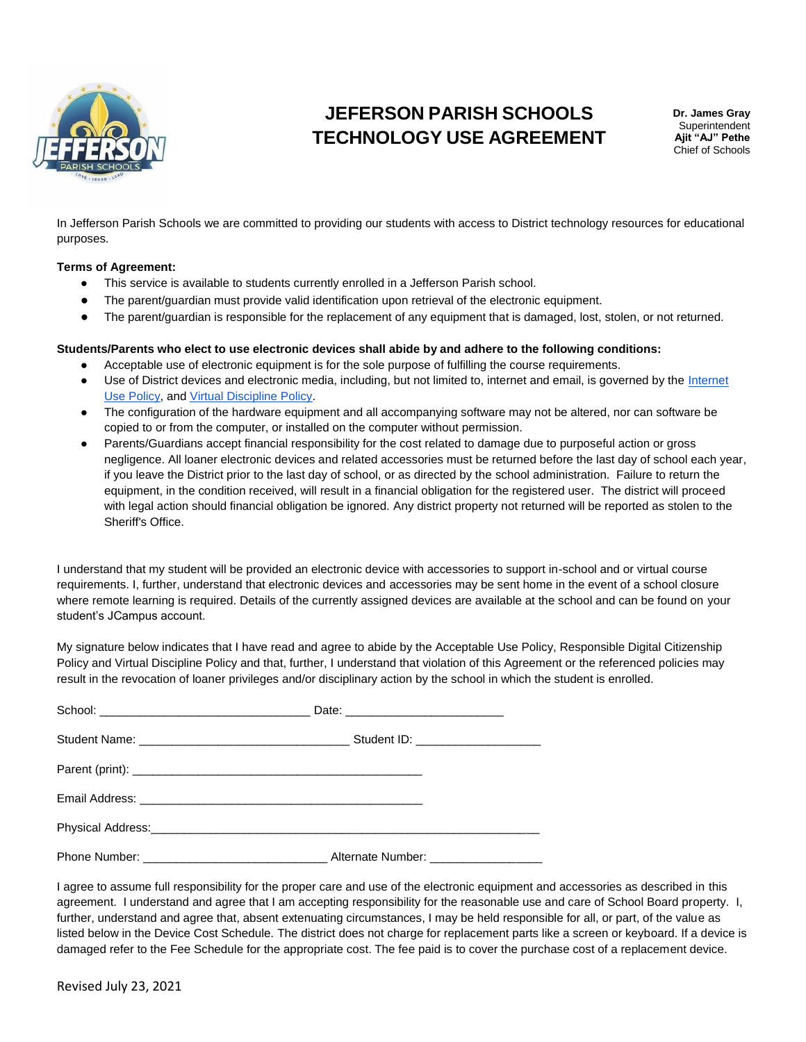

# **JEFERSON PARISH SCHOOLS TECHNOLOGY USE AGREEMENT**

**Dr. James Gray** Superintendent **Ajit "AJ" Pethe** Chief of Schools

In Jefferson Parish Schools we are committed to providing our students with access to District technology resources for educational purposes.

#### **Terms of Agreement:**

- This service is available to students currently enrolled in a Jefferson Parish school.
- The parent/guardian must provide valid identification upon retrieval of the electronic equipment.
- The parent/guardian is responsible for the replacement of any equipment that is damaged, lost, stolen, or not returned.

#### **Students/Parents who elect to use electronic devices shall abide by and adhere to the following conditions:**

- Acceptable use of electronic equipment is for the sole purpose of fulfilling the course requirements.
- Use of District devices and electronic media, including, but not limited to, internet and email, is governed by the [Internet](https://la50000440.schoolwires.net/cms/lib/LA50000440/Centricity/Domain/180/Parental-Consent-for-Student-Internet-Use.pdf)  [Use Policy,](https://la50000440.schoolwires.net/cms/lib/LA50000440/Centricity/Domain/180/Parental-Consent-for-Student-Internet-Use.pdf) and [Virtual Discipline Policy.](https://la50000440.schoolwires.net/cms/lib/LA50000440/Centricity/Domain/4/2021_Procedures_Policies_Hig.pdf)
- The configuration of the hardware equipment and all accompanying software may not be altered, nor can software be copied to or from the computer, or installed on the computer without permission.
- Parents/Guardians accept financial responsibility for the cost related to damage due to purposeful action or gross negligence. All loaner electronic devices and related accessories must be returned before the last day of school each year, if you leave the District prior to the last day of school, or as directed by the school administration. Failure to return the equipment, in the condition received, will result in a financial obligation for the registered user. The district will proceed with legal action should financial obligation be ignored. Any district property not returned will be reported as stolen to the Sheriff's Office.

I understand that my student will be provided an electronic device with accessories to support in-school and or virtual course requirements. I, further, understand that electronic devices and accessories may be sent home in the event of a school closure where remote learning is required. Details of the currently assigned devices are available at the school and can be found on your student's JCampus account.

My signature below indicates that I have read and agree to abide by the Acceptable Use Policy, Responsible Digital Citizenship Policy and Virtual Discipline Policy and that, further, I understand that violation of this Agreement or the referenced policies may result in the revocation of loaner privileges and/or disciplinary action by the school in which the student is enrolled.

| Physical Address: No. 2008 Communication of the Communication of the Communication of the Communication of the |  |
|----------------------------------------------------------------------------------------------------------------|--|
|                                                                                                                |  |

I agree to assume full responsibility for the proper care and use of the electronic equipment and accessories as described in this agreement. I understand and agree that I am accepting responsibility for the reasonable use and care of School Board property. I, further, understand and agree that, absent extenuating circumstances, I may be held responsible for all, or part, of the value as listed below in the Device Cost Schedule. The district does not charge for replacement parts like a screen or keyboard. If a device is damaged refer to the [Fee Schedule](https://docs.google.com/spreadsheets/d/17WqD77VGP7BNpV3jY7bc7vDHTSkHjNLbOdLXJbrmg_o/edit#gid=0) for the appropriate cost. The fee paid is to cover the purchase cost of a replacement device.